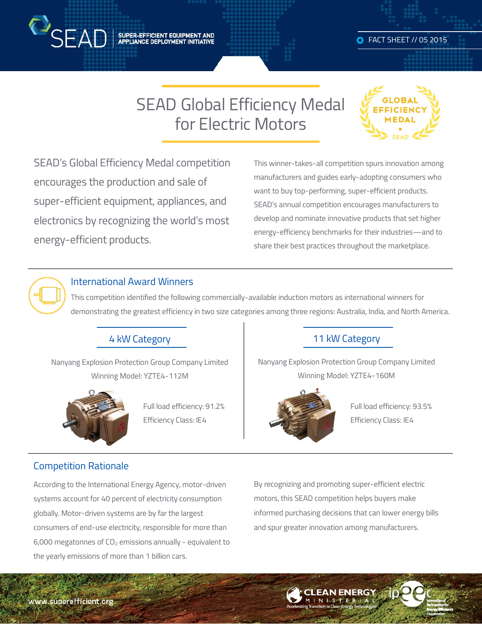

SUPER-EFFICIENT EQUIPMENT AND<br>APPLIANCE DEPLOYMENT INITIATIVE

# SEAD Global Efficiency Medal for Electric Motors



SEAD's Global Efficiency Medal competition encourages the production and sale of super-efficient equipment, appliances, and electronics by recognizing the world's most energy-efficient products.

This winner-takes-all competition spurs innovation among manufacturers and guides early-adopting consumers who want to buy top-performing, super-efficient products. SEAD's annual competition encourages manufacturers to develop and nominate innovative products that set higher energy-efficiency benchmarks for their industries—and to share their best practices throughout the marketplace.



#### International Award Winners

This competition identified the following commercially-available induction motors as international winners for demonstrating the greatest efficiency in two size categories among three regions: Australia, India, and North America.

#### 4 kW Category

Nanyang Explosion Protection Group Company Limited Winning Model: YZTE4-112M



Full load efficiency: 91.2% Efficiency Class: IE4

#### 11 kW Category

Nanyang Explosion Protection Group Company Limited Winning Model: YZTE4-160M



Full load efficiency: 93.5% Efficiency Class: IE4

#### Competition Rationale

According to the International Energy Agency, motor-driven systems account for 40 percent of electricity consumption globally. Motor-driven systems are by far the largest consumers of end-use electricity, responsible for more than 6,000 megatonnes of  $CO<sub>2</sub>$  emissions annually - equivalent to the yearly emissions of more than 1 billion cars.

By recognizing and promoting super-efficient electric motors, this SEAD competition helps buyers make informed purchasing decisions that can lower energy bills and spur greater innovation among manufacturers.